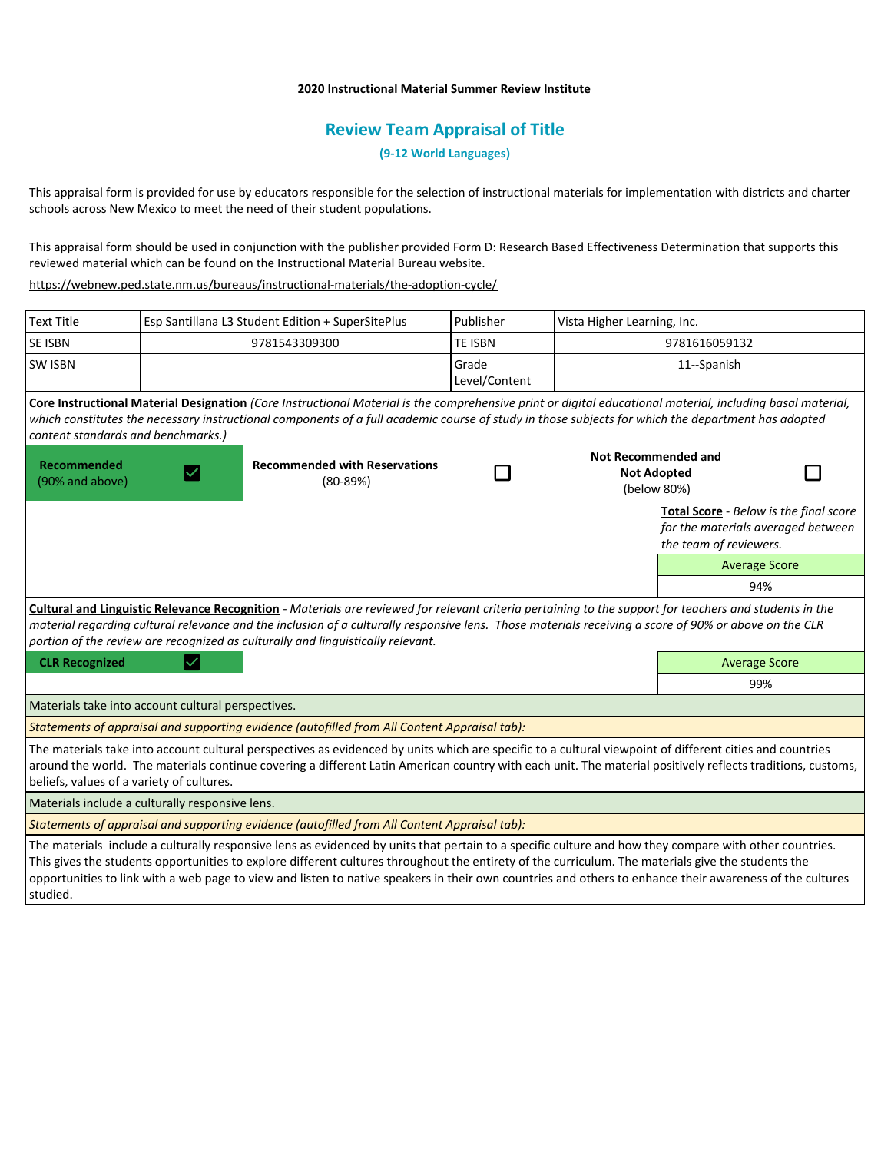## **2020 Instructional Material Summer Review Institute**

## **Review Team Appraisal of Title**

**(9-12 World Languages)**

This appraisal form is provided for use by educators responsible for the selection of instructional materials for implementation with districts and charter schools across New Mexico to meet the need of their student populations.

This appraisal form should be used in conjunction with the publisher provided Form D: Research Based Effectiveness Determination that supports this reviewed material which can be found on the Instructional Material Bureau website.

<https://webnew.ped.state.nm.us/bureaus/instructional-materials/the-adoption-cycle/>

| <b>Text Title</b>                                                                                                                                                                                                                                                                                                                                                                                                                                                        |  | Esp Santillana L3 Student Edition + SuperSitePlus  | Publisher              | Vista Higher Learning, Inc.                                     |                                                                                                        |  |
|--------------------------------------------------------------------------------------------------------------------------------------------------------------------------------------------------------------------------------------------------------------------------------------------------------------------------------------------------------------------------------------------------------------------------------------------------------------------------|--|----------------------------------------------------|------------------------|-----------------------------------------------------------------|--------------------------------------------------------------------------------------------------------|--|
| SE ISBN                                                                                                                                                                                                                                                                                                                                                                                                                                                                  |  | 9781543309300                                      | <b>TE ISBN</b>         | 9781616059132                                                   |                                                                                                        |  |
| <b>SW ISBN</b>                                                                                                                                                                                                                                                                                                                                                                                                                                                           |  |                                                    | Grade<br>Level/Content | 11--Spanish                                                     |                                                                                                        |  |
| Core Instructional Material Designation (Core Instructional Material is the comprehensive print or digital educational material, including basal material,<br>which constitutes the necessary instructional components of a full academic course of study in those subjects for which the department has adopted<br>content standards and benchmarks.)                                                                                                                   |  |                                                    |                        |                                                                 |                                                                                                        |  |
| <b>Recommended</b><br>(90% and above)                                                                                                                                                                                                                                                                                                                                                                                                                                    |  | <b>Recommended with Reservations</b><br>$(80-89%)$ |                        | <b>Not Recommended and</b><br><b>Not Adopted</b><br>(below 80%) |                                                                                                        |  |
|                                                                                                                                                                                                                                                                                                                                                                                                                                                                          |  |                                                    |                        |                                                                 | Total Score - Below is the final score<br>for the materials averaged between<br>the team of reviewers. |  |
|                                                                                                                                                                                                                                                                                                                                                                                                                                                                          |  |                                                    |                        |                                                                 | <b>Average Score</b>                                                                                   |  |
|                                                                                                                                                                                                                                                                                                                                                                                                                                                                          |  |                                                    |                        |                                                                 | 94%                                                                                                    |  |
| Cultural and Linguistic Relevance Recognition - Materials are reviewed for relevant criteria pertaining to the support for teachers and students in the<br>material regarding cultural relevance and the inclusion of a culturally responsive lens. Those materials receiving a score of 90% or above on the CLR<br>portion of the review are recognized as culturally and linguistically relevant.                                                                      |  |                                                    |                        |                                                                 |                                                                                                        |  |
| <b>CLR Recognized</b>                                                                                                                                                                                                                                                                                                                                                                                                                                                    |  |                                                    |                        |                                                                 | <b>Average Score</b>                                                                                   |  |
|                                                                                                                                                                                                                                                                                                                                                                                                                                                                          |  |                                                    |                        |                                                                 | 99%                                                                                                    |  |
| Materials take into account cultural perspectives.                                                                                                                                                                                                                                                                                                                                                                                                                       |  |                                                    |                        |                                                                 |                                                                                                        |  |
| Statements of appraisal and supporting evidence (autofilled from All Content Appraisal tab):                                                                                                                                                                                                                                                                                                                                                                             |  |                                                    |                        |                                                                 |                                                                                                        |  |
| The materials take into account cultural perspectives as evidenced by units which are specific to a cultural viewpoint of different cities and countries<br>around the world. The materials continue covering a different Latin American country with each unit. The material positively reflects traditions, customs,<br>beliefs, values of a variety of cultures.                                                                                                      |  |                                                    |                        |                                                                 |                                                                                                        |  |
| Materials include a culturally responsive lens.                                                                                                                                                                                                                                                                                                                                                                                                                          |  |                                                    |                        |                                                                 |                                                                                                        |  |
| Statements of appraisal and supporting evidence (autofilled from All Content Appraisal tab):                                                                                                                                                                                                                                                                                                                                                                             |  |                                                    |                        |                                                                 |                                                                                                        |  |
| The materials include a culturally responsive lens as evidenced by units that pertain to a specific culture and how they compare with other countries.<br>This gives the students opportunities to explore different cultures throughout the entirety of the curriculum. The materials give the students the<br>opportunities to link with a web page to view and listen to native speakers in their own countries and others to enhance their awareness of the cultures |  |                                                    |                        |                                                                 |                                                                                                        |  |

studied.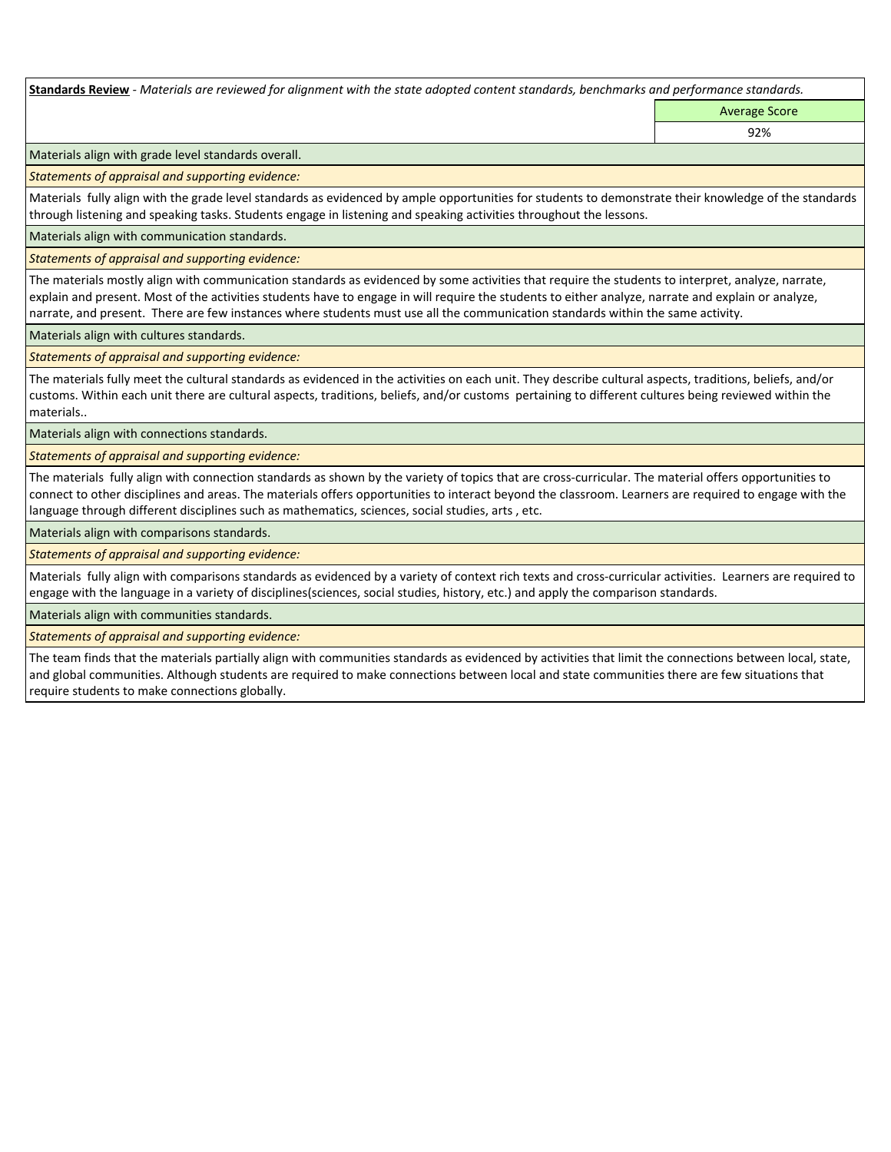**Standards Review** *- Materials are reviewed for alignment with the state adopted content standards, benchmarks and performance standards.*

Average Score 92%

Materials align with grade level standards overall.

*Statements of appraisal and supporting evidence:* 

Materials fully align with the grade level standards as evidenced by ample opportunities for students to demonstrate their knowledge of the standards through listening and speaking tasks. Students engage in listening and speaking activities throughout the lessons.

Materials align with communication standards.

*Statements of appraisal and supporting evidence:* 

The materials mostly align with communication standards as evidenced by some activities that require the students to interpret, analyze, narrate, explain and present. Most of the activities students have to engage in will require the students to either analyze, narrate and explain or analyze, narrate, and present. There are few instances where students must use all the communication standards within the same activity.

Materials align with cultures standards.

*Statements of appraisal and supporting evidence:* 

The materials fully meet the cultural standards as evidenced in the activities on each unit. They describe cultural aspects, traditions, beliefs, and/or customs. Within each unit there are cultural aspects, traditions, beliefs, and/or customs pertaining to different cultures being reviewed within the materials..

Materials align with connections standards.

*Statements of appraisal and supporting evidence:* 

The materials fully align with connection standards as shown by the variety of topics that are cross-curricular. The material offers opportunities to connect to other disciplines and areas. The materials offers opportunities to interact beyond the classroom. Learners are required to engage with the language through different disciplines such as mathematics, sciences, social studies, arts , etc.

Materials align with comparisons standards.

*Statements of appraisal and supporting evidence:* 

Materials fully align with comparisons standards as evidenced by a variety of context rich texts and cross-curricular activities. Learners are required to engage with the language in a variety of disciplines(sciences, social studies, history, etc.) and apply the comparison standards.

Materials align with communities standards.

*Statements of appraisal and supporting evidence:* 

The team finds that the materials partially align with communities standards as evidenced by activities that limit the connections between local, state, and global communities. Although students are required to make connections between local and state communities there are few situations that require students to make connections globally.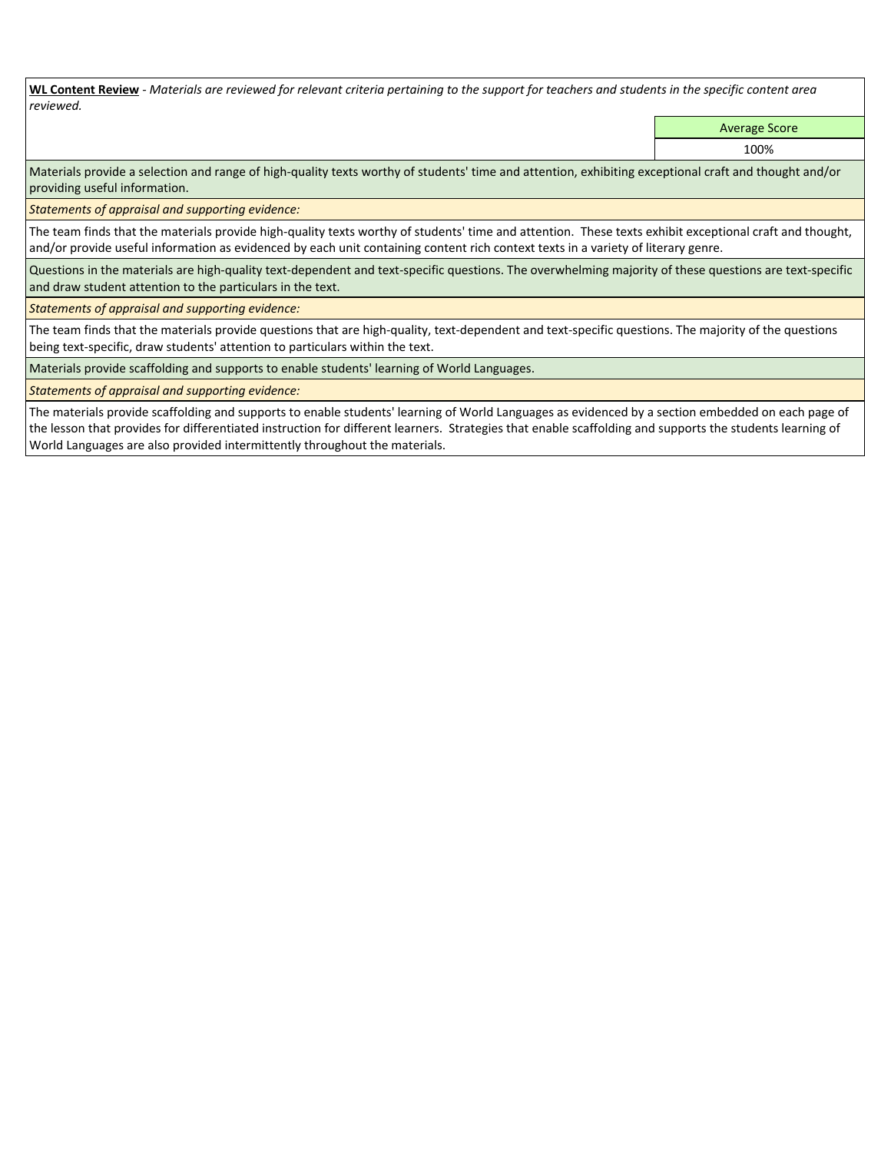**WL Content Review** *- Materials are reviewed for relevant criteria pertaining to the support for teachers and students in the specific content area reviewed.*

Average Score

100%

Materials provide a selection and range of high-quality texts worthy of students' time and attention, exhibiting exceptional craft and thought and/or providing useful information.

*Statements of appraisal and supporting evidence:* 

The team finds that the materials provide high-quality texts worthy of students' time and attention. These texts exhibit exceptional craft and thought, and/or provide useful information as evidenced by each unit containing content rich context texts in a variety of literary genre.

Questions in the materials are high-quality text-dependent and text-specific questions. The overwhelming majority of these questions are text-specific and draw student attention to the particulars in the text.

*Statements of appraisal and supporting evidence:* 

The team finds that the materials provide questions that are high-quality, text-dependent and text-specific questions. The majority of the questions being text-specific, draw students' attention to particulars within the text.

Materials provide scaffolding and supports to enable students' learning of World Languages.

*Statements of appraisal and supporting evidence:* 

The materials provide scaffolding and supports to enable students' learning of World Languages as evidenced by a section embedded on each page of the lesson that provides for differentiated instruction for different learners. Strategies that enable scaffolding and supports the students learning of World Languages are also provided intermittently throughout the materials.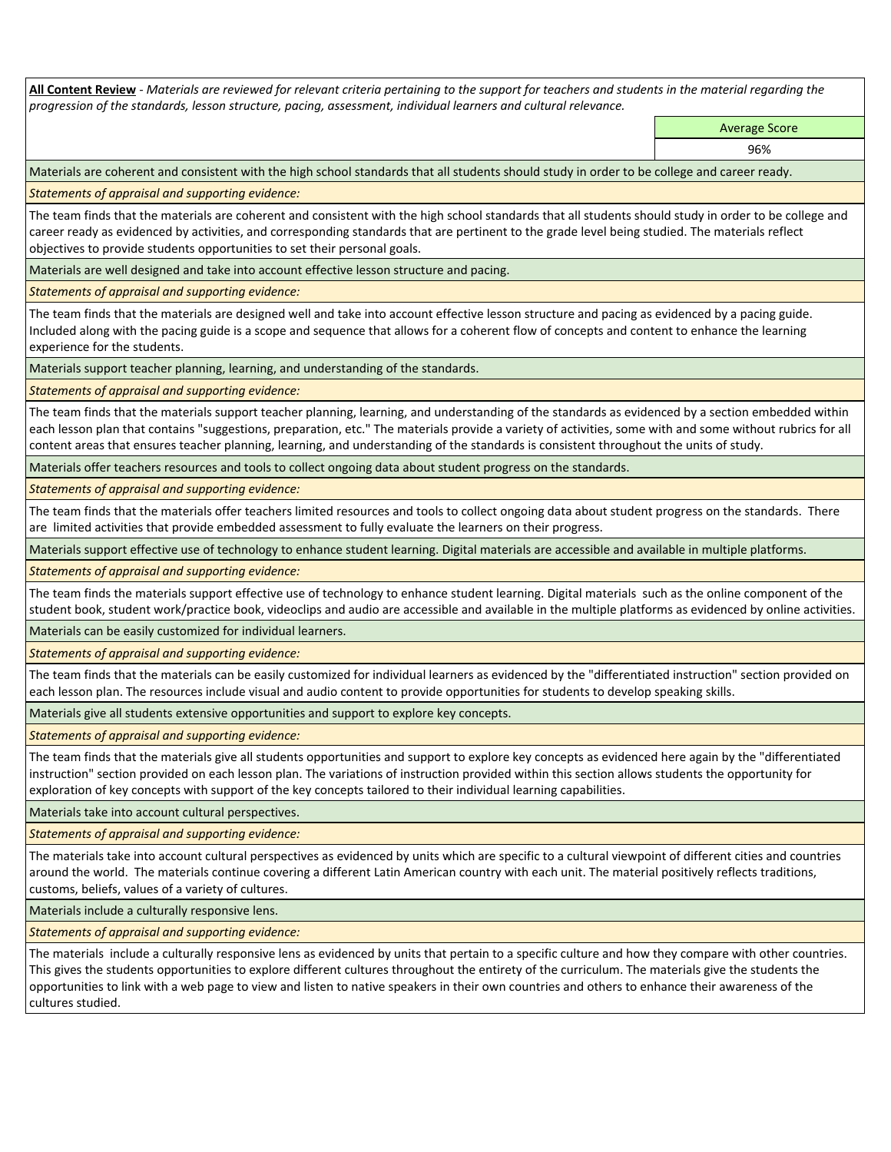**All Content Review** *- Materials are reviewed for relevant criteria pertaining to the support for teachers and students in the material regarding the progression of the standards, lesson structure, pacing, assessment, individual learners and cultural relevance.*

> Average Score 96%

Materials are coherent and consistent with the high school standards that all students should study in order to be college and career ready.

*Statements of appraisal and supporting evidence:*

The team finds that the materials are coherent and consistent with the high school standards that all students should study in order to be college and career ready as evidenced by activities, and corresponding standards that are pertinent to the grade level being studied. The materials reflect objectives to provide students opportunities to set their personal goals.

Materials are well designed and take into account effective lesson structure and pacing.

*Statements of appraisal and supporting evidence:*

The team finds that the materials are designed well and take into account effective lesson structure and pacing as evidenced by a pacing guide. Included along with the pacing guide is a scope and sequence that allows for a coherent flow of concepts and content to enhance the learning experience for the students.

Materials support teacher planning, learning, and understanding of the standards.

*Statements of appraisal and supporting evidence:*

The team finds that the materials support teacher planning, learning, and understanding of the standards as evidenced by a section embedded within each lesson plan that contains "suggestions, preparation, etc." The materials provide a variety of activities, some with and some without rubrics for all content areas that ensures teacher planning, learning, and understanding of the standards is consistent throughout the units of study.

Materials offer teachers resources and tools to collect ongoing data about student progress on the standards.

*Statements of appraisal and supporting evidence:*

The team finds that the materials offer teachers limited resources and tools to collect ongoing data about student progress on the standards. There are limited activities that provide embedded assessment to fully evaluate the learners on their progress.

Materials support effective use of technology to enhance student learning. Digital materials are accessible and available in multiple platforms.

*Statements of appraisal and supporting evidence:*

The team finds the materials support effective use of technology to enhance student learning. Digital materials such as the online component of the student book, student work/practice book, videoclips and audio are accessible and available in the multiple platforms as evidenced by online activities.

Materials can be easily customized for individual learners.

*Statements of appraisal and supporting evidence:* 

The team finds that the materials can be easily customized for individual learners as evidenced by the "differentiated instruction" section provided on each lesson plan. The resources include visual and audio content to provide opportunities for students to develop speaking skills.

Materials give all students extensive opportunities and support to explore key concepts.

*Statements of appraisal and supporting evidence:*

The team finds that the materials give all students opportunities and support to explore key concepts as evidenced here again by the "differentiated instruction" section provided on each lesson plan. The variations of instruction provided within this section allows students the opportunity for exploration of key concepts with support of the key concepts tailored to their individual learning capabilities.

Materials take into account cultural perspectives.

*Statements of appraisal and supporting evidence:*

The materials take into account cultural perspectives as evidenced by units which are specific to a cultural viewpoint of different cities and countries around the world. The materials continue covering a different Latin American country with each unit. The material positively reflects traditions, customs, beliefs, values of a variety of cultures.

Materials include a culturally responsive lens.

*Statements of appraisal and supporting evidence:*

The materials include a culturally responsive lens as evidenced by units that pertain to a specific culture and how they compare with other countries. This gives the students opportunities to explore different cultures throughout the entirety of the curriculum. The materials give the students the opportunities to link with a web page to view and listen to native speakers in their own countries and others to enhance their awareness of the cultures studied.